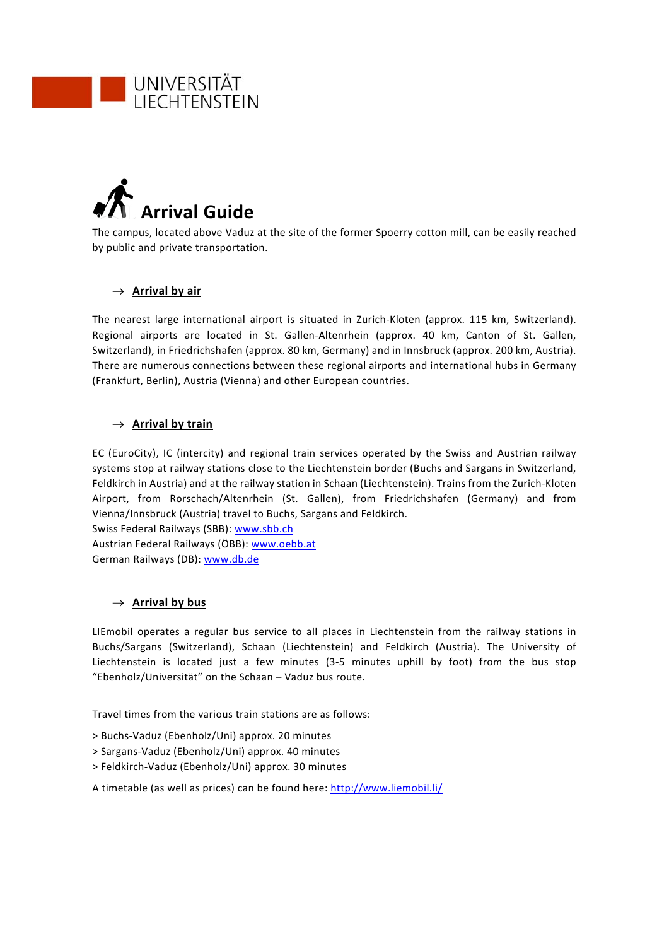



The campus, located above Vaduz at the site of the former Spoerry cotton mill, can be easily reached by public and private transportation.

## $\rightarrow$  Arrival by air

The nearest large international airport is situated in Zurich‐Kloten (approx. 115 km, Switzerland). Regional airports are located in St. Gallen‐Altenrhein (approx. 40 km, Canton of St. Gallen, Switzerland), in Friedrichshafen (approx. 80 km, Germany) and in Innsbruck (approx. 200 km, Austria). There are numerous connections between these regional airports and international hubs in Germany (Frankfurt, Berlin), Austria (Vienna) and other European countries.

## $\rightarrow$  Arrival by train

EC (EuroCity), IC (intercity) and regional train services operated by the Swiss and Austrian railway systems stop at railway stations close to the Liechtenstein border (Buchs and Sargans in Switzerland, Feldkirch in Austria) and at the railway station in Schaan (Liechtenstein). Trains from the Zurich‐Kloten Airport, from Rorschach/Altenrhein (St. Gallen), from Friedrichshafen (Germany) and from Vienna/Innsbruck (Austria) travel to Buchs, Sargans and Feldkirch.

Swiss Federal Railways (SBB): www.sbb.ch Austrian Federal Railways (ÖBB): www.oebb.at German Railways (DB): www.db.de

## $\rightarrow$  **Arrival by bus**

LIEmobil operates a regular bus service to all places in Liechtenstein from the railway stations in Buchs/Sargans (Switzerland), Schaan (Liechtenstein) and Feldkirch (Austria). The University of Liechtenstein is located just a few minutes (3‐5 minutes uphill by foot) from the bus stop "Ebenholz/Universität" on the Schaan – Vaduz bus route.

Travel times from the various train stations are as follows:

- > Buchs‐Vaduz (Ebenholz/Uni) approx. 20 minutes
- > Sargans‐Vaduz (Ebenholz/Uni) approx. 40 minutes
- > Feldkirch‐Vaduz (Ebenholz/Uni) approx. 30 minutes

A timetable (as well as prices) can be found here: http://www.liemobil.li/